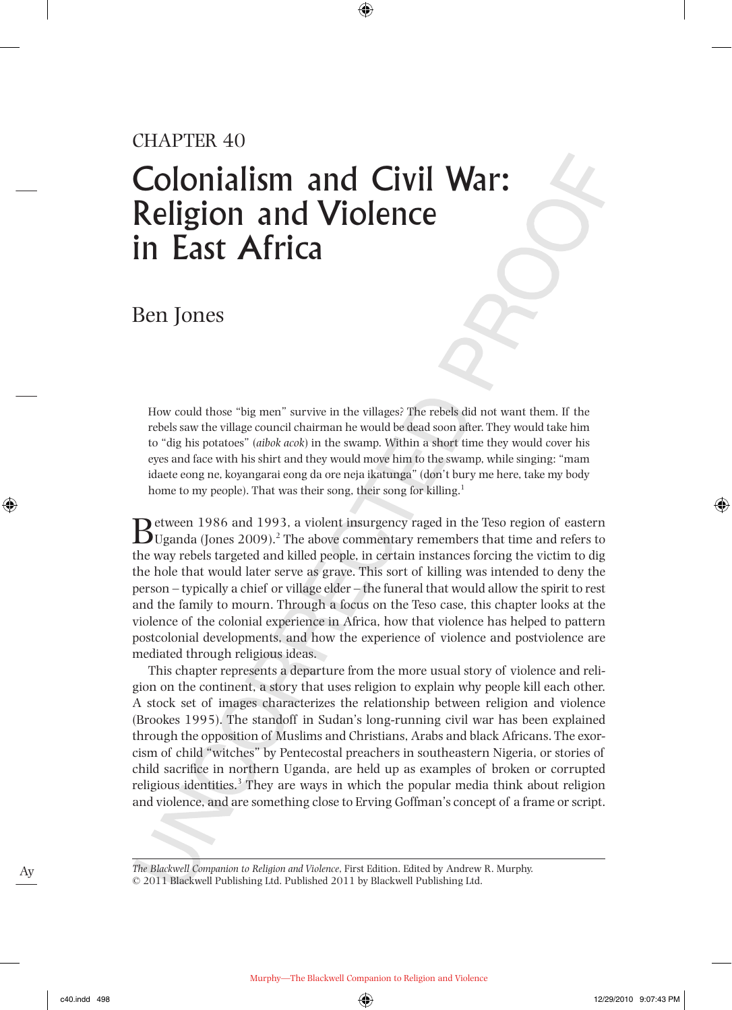## CHAPTER 40

# Colonialism and Civil War: Religion and Violence in East Africa

⊕

Ben Jones

How could those "big men" survive in the villages? The rebels did not want them. If the rebels saw the village council chairman he would be dead soon after. They would take him to "dig his potatoes" (*aibok acok*) in the swamp. Within a short time they would cover his eyes and face with his shirt and they would move him to the swamp, while singing: "mam idaete eong ne, koyangarai eong da ore neja ikatunga" (don't bury me here, take my body home to my people). That was their song, their song for killing.<sup>1</sup>

Between 1986 and 1993, a violent insurgency raged in the Teso region of eastern Uganda (Jones 2009).<sup>2</sup> The above commentary remembers that time and refers to the way rebels targeted and killed people, in certain instances forcing the victim to dig the hole that would later serve as grave. This sort of killing was intended to deny the person – typically a chief or village elder – the funeral that would allow the spirit to rest and the family to mourn. Through a focus on the Teso case, this chapter looks at the violence of the colonial experience in Africa, how that violence has helped to pattern postcolonial developments, and how the experience of violence and postviolence are mediated through religious ideas.

This chapter represents a departure from the more usual story of violence and religion on the continent, a story that uses religion to explain why people kill each other. A stock set of images characterizes the relationship between religion and violence (Brookes 1995). The standoff in Sudan's long-running civil war has been explained through the opposition of Muslims and Christians, Arabs and black Africans. The exorcism of child "witches" by Pentecostal preachers in southeastern Nigeria, or stories of child sacrifice in northern Uganda, are held up as examples of broken or corrupted religious identities.<sup>3</sup> They are ways in which the popular media think about religion and violence, and are something close to Erving Goffman's concept of a frame or script.

*The Blackwell Companion to Religion and Violence*, First Edition. Edited by Andrew R. Murphy. © 2011 Blackwell Publishing Ltd. Published 2011 by Blackwell Publishing Ltd.

⊕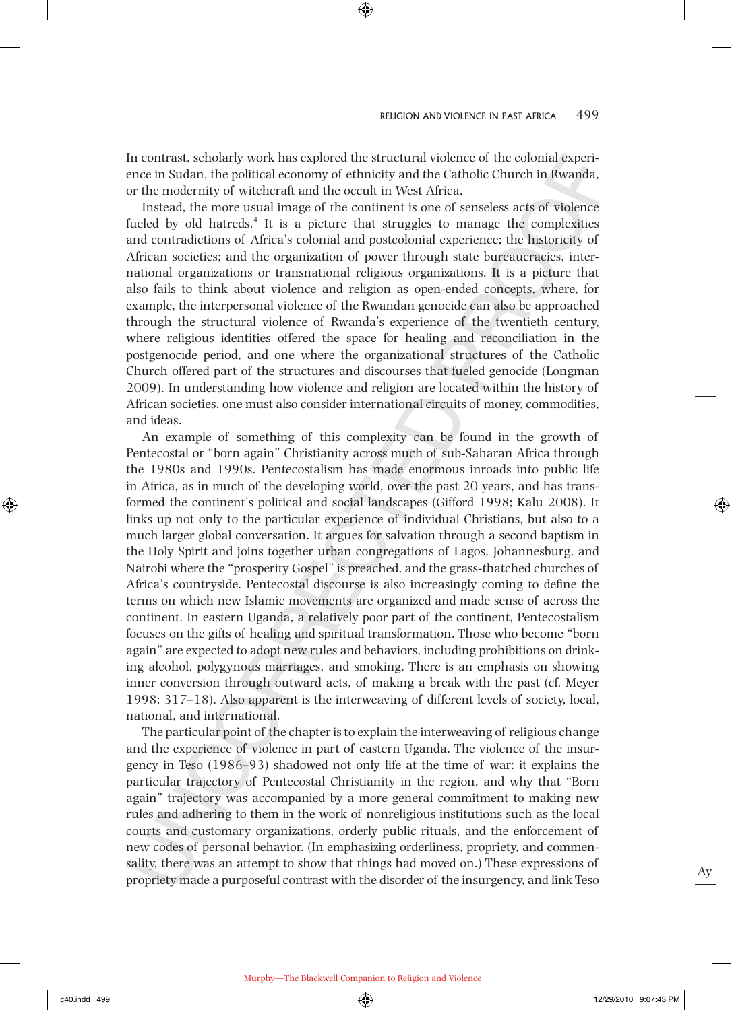In contrast, scholarly work has explored the structural violence of the colonial experience in Sudan, the political economy of ethnicity and the Catholic Church in Rwanda, or the modernity of witchcraft and the occult in West Africa.

 $\circledast$ 

Instead, the more usual image of the continent is one of senseless acts of violence fueled by old hatreds.<sup>4</sup> It is a picture that struggles to manage the complexities and contradictions of Africa's colonial and postcolonial experience; the historicity of African societies; and the organization of power through state bureaucracies, international organizations or transnational religious organizations. It is a picture that also fails to think about violence and religion as open-ended concepts, where, for example, the interpersonal violence of the Rwandan genocide can also be approached through the structural violence of Rwanda's experience of the twentieth century, where religious identities offered the space for healing and reconciliation in the postgenocide period, and one where the organizational structures of the Catholic Church offered part of the structures and discourses that fueled genocide (Longman 2009). In understanding how violence and religion are located within the history of African societies, one must also consider international circuits of money, commodities, and ideas.

An example of something of this complexity can be found in the growth of Pentecostal or "born again" Christianity across much of sub-Saharan Africa through the 1980s and 1990s. Pentecostalism has made enormous inroads into public life in Africa, as in much of the developing world, over the past 20 years, and has transformed the continent's political and social landscapes (Gifford 1998; Kalu 2008). It links up not only to the particular experience of individual Christians, but also to a much larger global conversation. It argues for salvation through a second baptism in the Holy Spirit and joins together urban congregations of Lagos, Johannesburg, and Nairobi where the "prosperity Gospel" is preached, and the grass-thatched churches of Africa's countryside. Pentecostal discourse is also increasingly coming to define the terms on which new Islamic movements are organized and made sense of across the continent. In eastern Uganda, a relatively poor part of the continent, Pentecostalism focuses on the gifts of healing and spiritual transformation. Those who become "born again" are expected to adopt new rules and behaviors, including prohibitions on drinking alcohol, polygynous marriages, and smoking. There is an emphasis on showing inner conversion through outward acts, of making a break with the past (cf. Meyer 1998: 317–18). Also apparent is the interweaving of different levels of society, local, national, and international.

The particular point of the chapter is to explain the interweaving of religious change and the experience of violence in part of eastern Uganda. The violence of the insurgency in Teso (1986–93) shadowed not only life at the time of war: it explains the particular trajectory of Pentecostal Christianity in the region, and why that "Born again" trajectory was accompanied by a more general commitment to making new rules and adhering to them in the work of nonreligious institutions such as the local courts and customary organizations, orderly public rituals, and the enforcement of new codes of personal behavior. (In emphasizing orderliness, propriety, and commensality, there was an attempt to show that things had moved on.) These expressions of propriety made a purposeful contrast with the disorder of the insurgency, and link Teso ⊕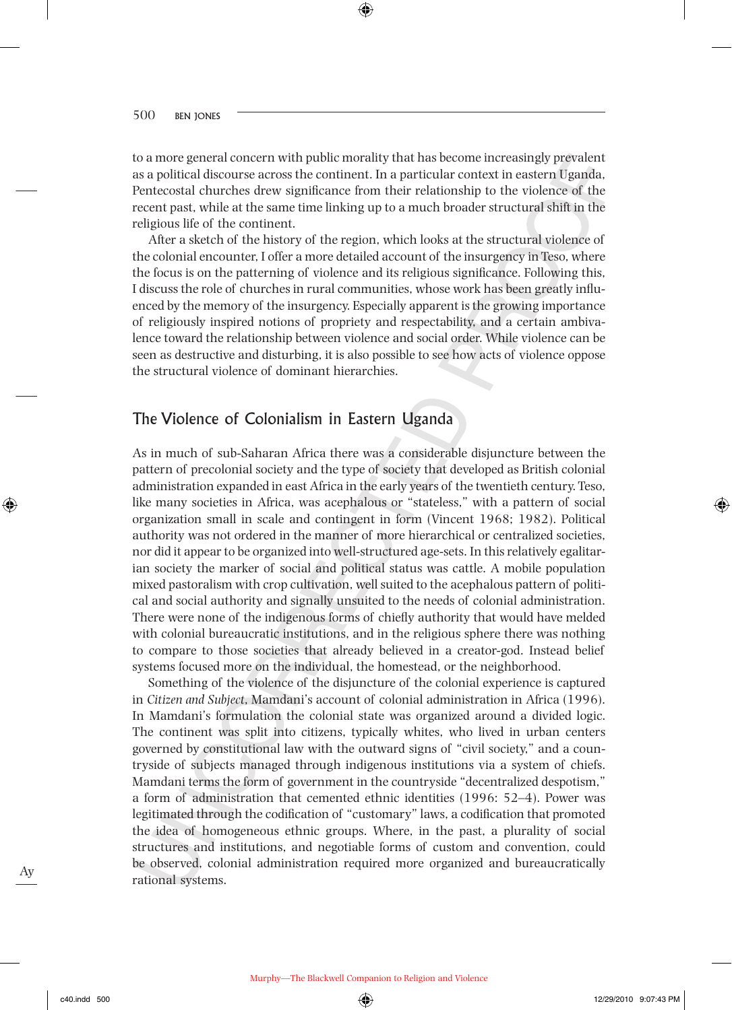to a more general concern with public morality that has become increasingly prevalent as a political discourse across the continent. In a particular context in eastern Uganda, Pentecostal churches drew significance from their relationship to the violence of the recent past, while at the same time linking up to a much broader structural shift in the religious life of the continent.

 $\circledast$ 

After a sketch of the history of the region, which looks at the structural violence of the colonial encounter, I offer a more detailed account of the insurgency in Teso, where the focus is on the patterning of violence and its religious significance. Following this, I discuss the role of churches in rural communities, whose work has been greatly influenced by the memory of the insurgency. Especially apparent is the growing importance of religiously inspired notions of propriety and respectability, and a certain ambivalence toward the relationship between violence and social order. While violence can be seen as destructive and disturbing, it is also possible to see how acts of violence oppose the structural violence of dominant hierarchies.

## The Violence of Colonialism in Eastern Uganda

As in much of sub-Saharan Africa there was a considerable disjuncture between the pattern of precolonial society and the type of society that developed as British colonial administration expanded in east Africa in the early years of the twentieth century. Teso, like many societies in Africa, was acephalous or "stateless," with a pattern of social organization small in scale and contingent in form (Vincent 1968; 1982). Political authority was not ordered in the manner of more hierarchical or centralized societies, nor did it appear to be organized into well-structured age-sets. In this relatively egalitarian society the marker of social and political status was cattle. A mobile population mixed pastoralism with crop cultivation, well suited to the acephalous pattern of political and social authority and signally unsuited to the needs of colonial administration. There were none of the indigenous forms of chiefly authority that would have melded with colonial bureaucratic institutions, and in the religious sphere there was nothing to compare to those societies that already believed in a creator-god. Instead belief systems focused more on the individual, the homestead, or the neighborhood.

Something of the violence of the disjuncture of the colonial experience is captured in *Citizen and Subject*, Mamdani's account of colonial administration in Africa (1996). In Mamdani's formulation the colonial state was organized around a divided logic. The continent was split into citizens, typically whites, who lived in urban centers governed by constitutional law with the outward signs of "civil society," and a countryside of subjects managed through indigenous institutions via a system of chiefs. Mamdani terms the form of government in the countryside "decentralized despotism," a form of administration that cemented ethnic identities (1996: 52–4). Power was legitimated through the codification of "customary" laws, a codification that promoted the idea of homogeneous ethnic groups. Where, in the past, a plurality of social structures and institutions, and negotiable forms of custom and convention, could be observed, colonial administration required more organized and bureaucratically rational systems.

⊕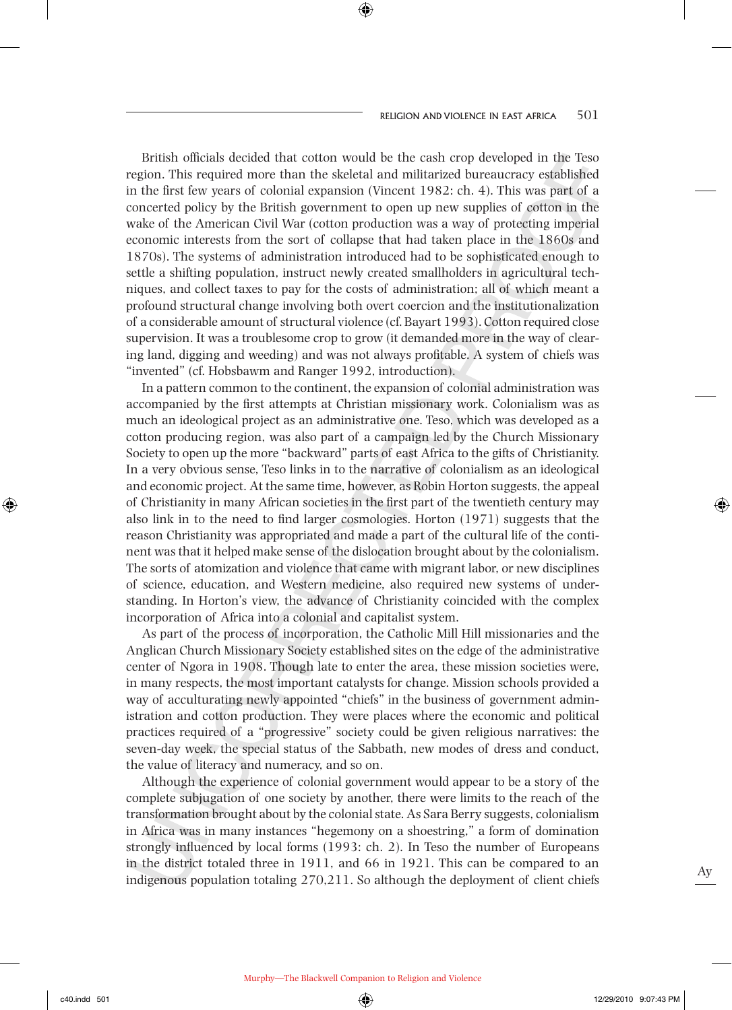#### RELIGION AND VIOLENCE IN EAST AFRICA  $501$

British officials decided that cotton would be the cash crop developed in the Teso region. This required more than the skeletal and militarized bureaucracy established in the first few years of colonial expansion (Vincent 1982: ch. 4). This was part of a concerted policy by the British government to open up new supplies of cotton in the wake of the American Civil War (cotton production was a way of protecting imperial economic interests from the sort of collapse that had taken place in the 1860s and 1870s). The systems of administration introduced had to be sophisticated enough to settle a shifting population, instruct newly created smallholders in agricultural techniques, and collect taxes to pay for the costs of administration; all of which meant a profound structural change involving both overt coercion and the institutionalization of a considerable amount of structural violence (cf. Bayart 1993). Cotton required close supervision. It was a troublesome crop to grow (it demanded more in the way of clearing land, digging and weeding) and was not always profitable. A system of chiefs was "invented" (cf. Hobsbawm and Ranger 1992, introduction).

 $\circledast$ 

In a pattern common to the continent, the expansion of colonial administration was accompanied by the first attempts at Christian missionary work. Colonialism was as much an ideological project as an administrative one. Teso, which was developed as a cotton producing region, was also part of a campaign led by the Church Missionary Society to open up the more "backward" parts of east Africa to the gifts of Christianity. In a very obvious sense, Teso links in to the narrative of colonialism as an ideological and economic project. At the same time, however, as Robin Horton suggests, the appeal of Christianity in many African societies in the first part of the twentieth century may also link in to the need to find larger cosmologies. Horton (1971) suggests that the reason Christianity was appropriated and made a part of the cultural life of the continent was that it helped make sense of the dislocation brought about by the colonialism. The sorts of atomization and violence that came with migrant labor, or new disciplines of science, education, and Western medicine, also required new systems of understanding. In Horton's view, the advance of Christianity coincided with the complex incorporation of Africa into a colonial and capitalist system.

As part of the process of incorporation, the Catholic Mill Hill missionaries and the Anglican Church Missionary Society established sites on the edge of the administrative center of Ngora in 1908. Though late to enter the area, these mission societies were, in many respects, the most important catalysts for change. Mission schools provided a way of acculturating newly appointed "chiefs" in the business of government administration and cotton production. They were places where the economic and political practices required of a "progressive" society could be given religious narratives: the seven-day week, the special status of the Sabbath, new modes of dress and conduct, the value of literacy and numeracy, and so on.

Although the experience of colonial government would appear to be a story of the complete subjugation of one society by another, there were limits to the reach of the transformation brought about by the colonial state. As Sara Berry suggests, colonialism in Africa was in many instances "hegemony on a shoestring," a form of domination strongly influenced by local forms (1993: ch. 2). In Teso the number of Europeans in the district totaled three in 1911, and 66 in 1921. This can be compared to an indigenous population totaling 270,211. So although the deployment of client chiefs ⊕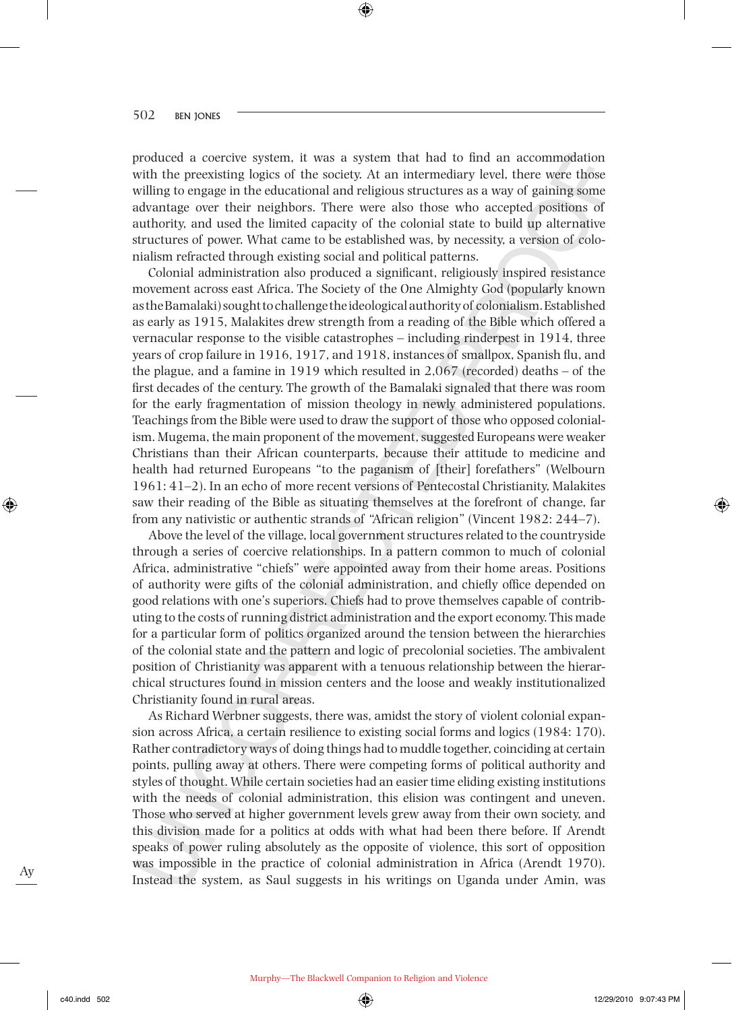produced a coercive system, it was a system that had to find an accommodation with the preexisting logics of the society. At an intermediary level, there were those willing to engage in the educational and religious structures as a way of gaining some advantage over their neighbors. There were also those who accepted positions of authority, and used the limited capacity of the colonial state to build up alternative structures of power. What came to be established was, by necessity, a version of colonialism refracted through existing social and political patterns.

 $\circledast$ 

Colonial administration also produced a significant, religiously inspired resistance movement across east Africa. The Society of the One Almighty God (popularly known as the Bamalaki) sought to challenge the ideological authority of colonialism. Established as early as 1915, Malakites drew strength from a reading of the Bible which offered a vernacular response to the visible catastrophes – including rinderpest in 1914, three years of crop failure in 1916, 1917, and 1918, instances of smallpox, Spanish flu, and the plague, and a famine in 1919 which resulted in 2,067 (recorded) deaths – of the first decades of the century. The growth of the Bamalaki signaled that there was room for the early fragmentation of mission theology in newly administered populations. Teachings from the Bible were used to draw the support of those who opposed colonialism. Mugema, the main proponent of the movement, suggested Europeans were weaker Christians than their African counterparts, because their attitude to medicine and health had returned Europeans "to the paganism of [their] forefathers" (Welbourn 1961: 41–2). In an echo of more recent versions of Pentecostal Christianity, Malakites saw their reading of the Bible as situating themselves at the forefront of change, far from any nativistic or authentic strands of "African religion" (Vincent 1982: 244–7).

Above the level of the village, local government structures related to the countryside through a series of coercive relationships. In a pattern common to much of colonial Africa, administrative "chiefs" were appointed away from their home areas. Positions of authority were gifts of the colonial administration, and chiefly office depended on good relations with one's superiors. Chiefs had to prove themselves capable of contributing to the costs of running district administration and the export economy. This made for a particular form of politics organized around the tension between the hierarchies of the colonial state and the pattern and logic of precolonial societies. The ambivalent position of Christianity was apparent with a tenuous relationship between the hierarchical structures found in mission centers and the loose and weakly institutionalized Christianity found in rural areas.

As Richard Werbner suggests, there was, amidst the story of violent colonial expansion across Africa, a certain resilience to existing social forms and logics (1984: 170). Rather contradictory ways of doing things had to muddle together, coinciding at certain points, pulling away at others. There were competing forms of political authority and styles of thought. While certain societies had an easier time eliding existing institutions with the needs of colonial administration, this elision was contingent and uneven. Those who served at higher government levels grew away from their own society, and this division made for a politics at odds with what had been there before. If Arendt speaks of power ruling absolutely as the opposite of violence, this sort of opposition was impossible in the practice of colonial administration in Africa (Arendt 1970). Instead the system, as Saul suggests in his writings on Uganda under Amin, was

⊕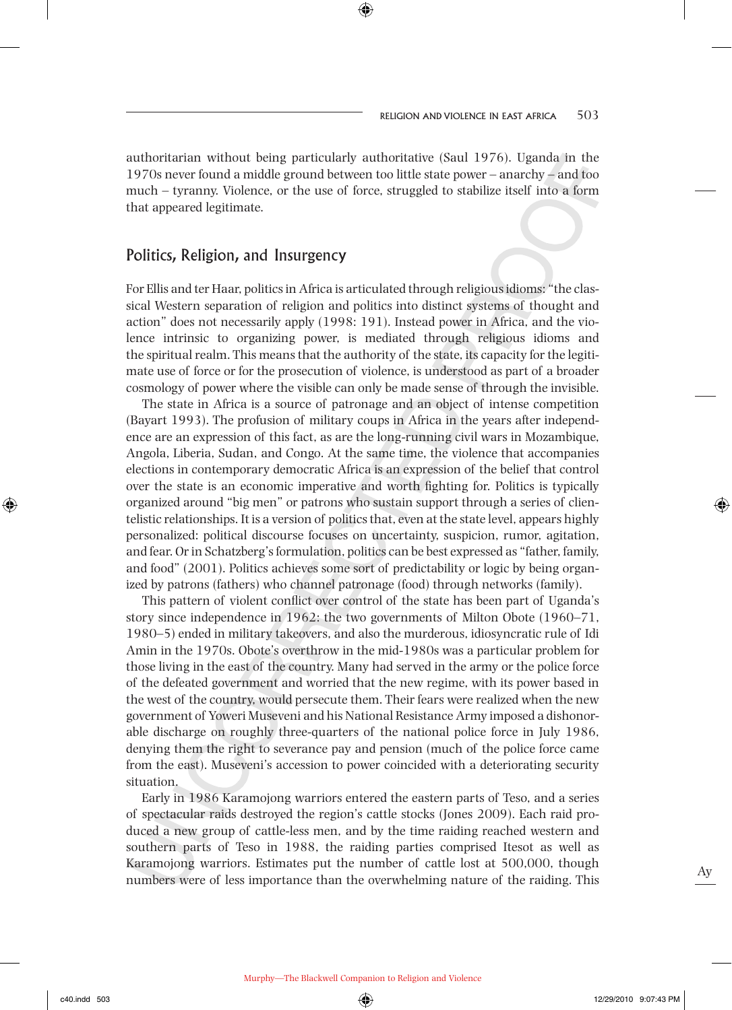⊕

authoritarian without being particularly authoritative (Saul 1976). Uganda in the 1970s never found a middle ground between too little state power – anarchy – and too much – tyranny. Violence, or the use of force, struggled to stabilize itself into a form that appeared legitimate.

 $\circledast$ 

## Politics, Religion, and Insurgency

For Ellis and ter Haar, politics in Africa is articulated through religious idioms: "the classical Western separation of religion and politics into distinct systems of thought and action" does not necessarily apply (1998: 191). Instead power in Africa, and the violence intrinsic to organizing power, is mediated through religious idioms and the spiritual realm. This means that the authority of the state, its capacity for the legitimate use of force or for the prosecution of violence, is understood as part of a broader cosmology of power where the visible can only be made sense of through the invisible.

The state in Africa is a source of patronage and an object of intense competition (Bayart 1993). The profusion of military coups in Africa in the years after independence are an expression of this fact, as are the long-running civil wars in Mozambique, Angola, Liberia, Sudan, and Congo. At the same time, the violence that accompanies elections in contemporary democratic Africa is an expression of the belief that control over the state is an economic imperative and worth fighting for. Politics is typically organized around "big men" or patrons who sustain support through a series of clientelistic relationships. It is a version of politics that, even at the state level, appears highly personalized: political discourse focuses on uncertainty, suspicion, rumor, agitation, and fear. Or in Schatzberg's formulation, politics can be best expressed as "father, family, and food" (2001). Politics achieves some sort of predictability or logic by being organized by patrons (fathers) who channel patronage (food) through networks (family).

This pattern of violent conflict over control of the state has been part of Uganda's story since independence in 1962: the two governments of Milton Obote (1960–71, 1980–5) ended in military takeovers, and also the murderous, idiosyncratic rule of Idi Amin in the 1970s. Obote's overthrow in the mid-1980s was a particular problem for those living in the east of the country. Many had served in the army or the police force of the defeated government and worried that the new regime, with its power based in the west of the country, would persecute them. Their fears were realized when the new government of Yoweri Museveni and his National Resistance Army imposed a dishonorable discharge on roughly three-quarters of the national police force in July 1986, denying them the right to severance pay and pension (much of the police force came from the east). Museveni's accession to power coincided with a deteriorating security situation.

Early in 1986 Karamojong warriors entered the eastern parts of Teso, and a series of spectacular raids destroyed the region's cattle stocks (Jones 2009). Each raid produced a new group of cattle-less men, and by the time raiding reached western and southern parts of Teso in 1988, the raiding parties comprised Itesot as well as Karamojong warriors. Estimates put the number of cattle lost at 500,000, though numbers were of less importance than the overwhelming nature of the raiding. This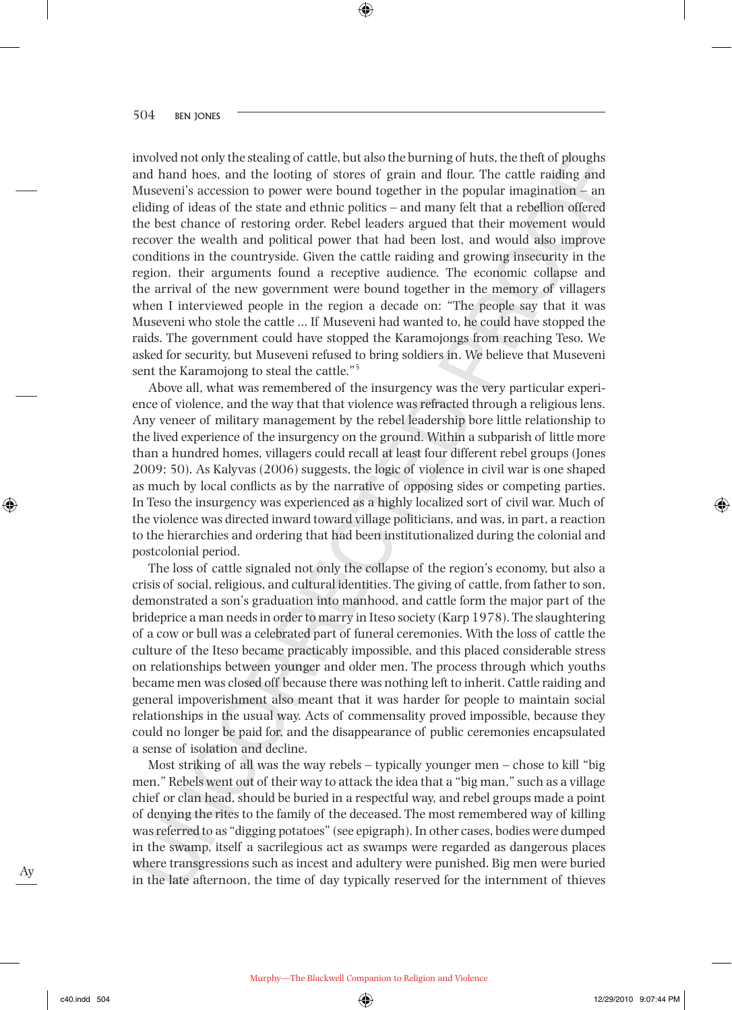involved not only the stealing of cattle, but also the burning of huts, the theft of ploughs and hand hoes, and the looting of stores of grain and flour. The cattle raiding and Museveni's accession to power were bound together in the popular imagination – an eliding of ideas of the state and ethnic politics – and many felt that a rebellion offered the best chance of restoring order. Rebel leaders argued that their movement would recover the wealth and political power that had been lost, and would also improve conditions in the countryside. Given the cattle raiding and growing insecurity in the region, their arguments found a receptive audience. The economic collapse and the arrival of the new government were bound together in the memory of villagers when I interviewed people in the region a decade on: "The people say that it was Museveni who stole the cattle … If Museveni had wanted to, he could have stopped the raids. The government could have stopped the Karamojongs from reaching Teso. We asked for security, but Museveni refused to bring soldiers in. We believe that Museveni sent the Karamojong to steal the cattle."<sup>5</sup>

 $\circledast$ 

Above all, what was remembered of the insurgency was the very particular experience of violence, and the way that that violence was refracted through a religious lens. Any veneer of military management by the rebel leadership bore little relationship to the lived experience of the insurgency on the ground. Within a subparish of little more than a hundred homes, villagers could recall at least four different rebel groups (Jones 2009: 50). As Kalyvas (2006) suggests, the logic of violence in civil war is one shaped as much by local conflicts as by the narrative of opposing sides or competing parties. In Teso the insurgency was experienced as a highly localized sort of civil war. Much of the violence was directed inward toward village politicians, and was, in part, a reaction to the hierarchies and ordering that had been institutionalized during the colonial and postcolonial period.

The loss of cattle signaled not only the collapse of the region's economy, but also a crisis of social, religious, and cultural identities. The giving of cattle, from father to son, demonstrated a son's graduation into manhood, and cattle form the major part of the brideprice a man needs in order to marry in Iteso society (Karp 1978). The slaughtering of a cow or bull was a celebrated part of funeral ceremonies. With the loss of cattle the culture of the Iteso became practicably impossible, and this placed considerable stress on relationships between younger and older men. The process through which youths became men was closed off because there was nothing left to inherit. Cattle raiding and general impoverishment also meant that it was harder for people to maintain social relationships in the usual way. Acts of commensality proved impossible, because they could no longer be paid for, and the disappearance of public ceremonies encapsulated a sense of isolation and decline.

Most striking of all was the way rebels – typically younger men – chose to kill "big men." Rebels went out of their way to attack the idea that a "big man," such as a village chief or clan head, should be buried in a respectful way, and rebel groups made a point of denying the rites to the family of the deceased. The most remembered way of killing was referred to as "digging potatoes" (see epigraph). In other cases, bodies were dumped in the swamp, itself a sacrilegious act as swamps were regarded as dangerous places where transgressions such as incest and adultery were punished. Big men were buried in the late afternoon, the time of day typically reserved for the internment of thieves

⊕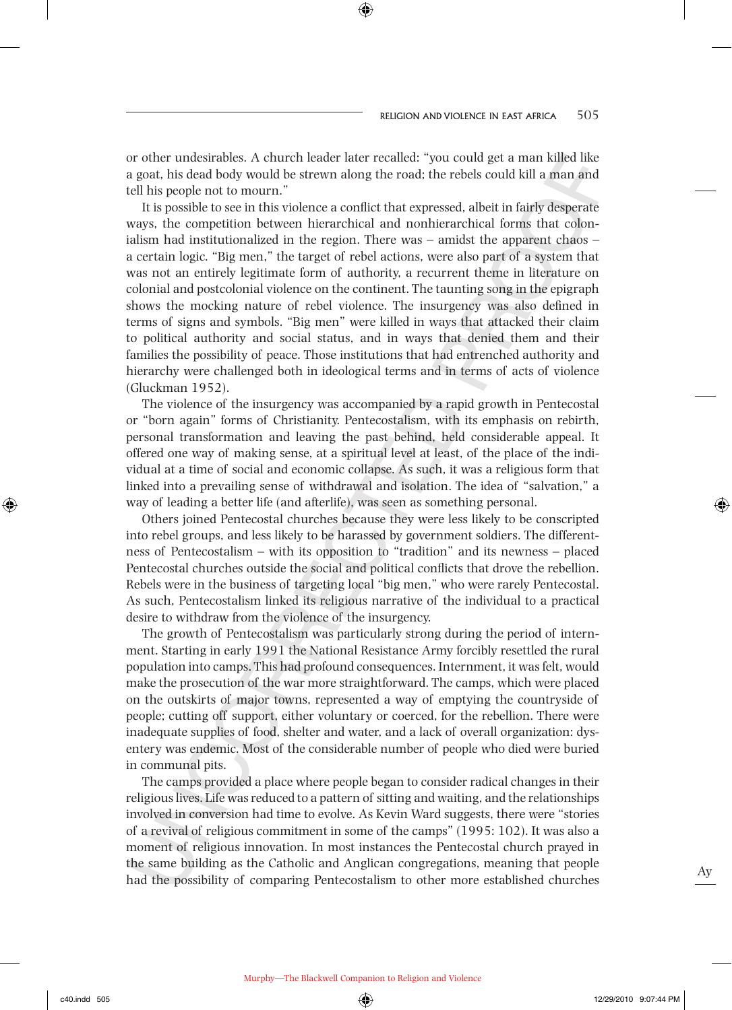or other undesirables. A church leader later recalled: "you could get a man killed like a goat, his dead body would be strewn along the road; the rebels could kill a man and tell his people not to mourn."

 $\circledast$ 

It is possible to see in this violence a conflict that expressed, albeit in fairly desperate ways, the competition between hierarchical and nonhierarchical forms that colonialism had institutionalized in the region. There was – amidst the apparent chaos – a certain logic. "Big men," the target of rebel actions, were also part of a system that was not an entirely legitimate form of authority, a recurrent theme in literature on colonial and postcolonial violence on the continent. The taunting song in the epigraph shows the mocking nature of rebel violence. The insurgency was also defined in terms of signs and symbols. "Big men" were killed in ways that attacked their claim to political authority and social status, and in ways that denied them and their families the possibility of peace. Those institutions that had entrenched authority and hierarchy were challenged both in ideological terms and in terms of acts of violence (Gluckman 1952).

The violence of the insurgency was accompanied by a rapid growth in Pentecostal or "born again" forms of Christianity. Pentecostalism, with its emphasis on rebirth, personal transformation and leaving the past behind, held considerable appeal. It offered one way of making sense, at a spiritual level at least, of the place of the individual at a time of social and economic collapse. As such, it was a religious form that linked into a prevailing sense of withdrawal and isolation. The idea of "salvation," a way of leading a better life (and afterlife), was seen as something personal.

Others joined Pentecostal churches because they were less likely to be conscripted into rebel groups, and less likely to be harassed by government soldiers. The differentness of Pentecostalism – with its opposition to "tradition" and its newness – placed Pentecostal churches outside the social and political conflicts that drove the rebellion. Rebels were in the business of targeting local "big men," who were rarely Pentecostal. As such, Pentecostalism linked its religious narrative of the individual to a practical desire to withdraw from the violence of the insurgency.

The growth of Pentecostalism was particularly strong during the period of internment. Starting in early 1991 the National Resistance Army forcibly resettled the rural population into camps. This had profound consequences. Internment, it was felt, would make the prosecution of the war more straightforward. The camps, which were placed on the outskirts of major towns, represented a way of emptying the countryside of people; cutting off support, either voluntary or coerced, for the rebellion. There were inadequate supplies of food, shelter and water, and a lack of overall organization: dysentery was endemic. Most of the considerable number of people who died were buried in communal pits.

The camps provided a place where people began to consider radical changes in their religious lives. Life was reduced to a pattern of sitting and waiting, and the relationships involved in conversion had time to evolve. As Kevin Ward suggests, there were "stories of a revival of religious commitment in some of the camps" (1995: 102). It was also a moment of religious innovation. In most instances the Pentecostal church prayed in the same building as the Catholic and Anglican congregations, meaning that people had the possibility of comparing Pentecostalism to other more established churches ⊕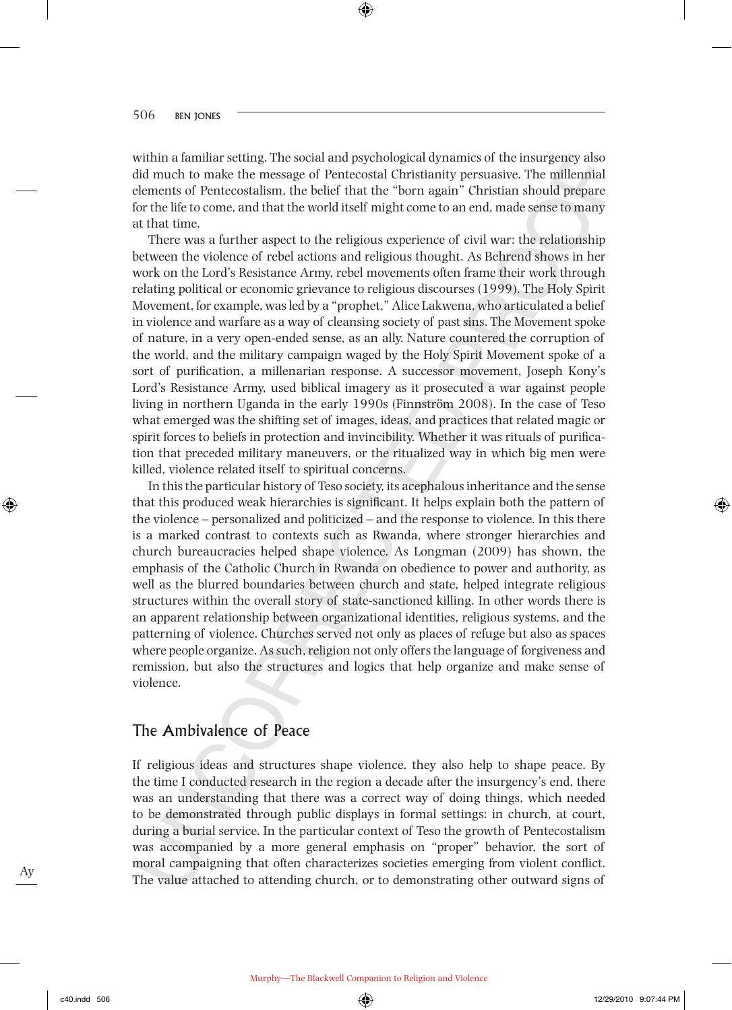within a familiar setting. The social and psychological dynamics of the insurgency also did much to make the message of Pentecostal Christianity persuasive. The millennial elements of Pentecostalism, the belief that the "born again" Christian should prepare for the life to come, and that the world itself might come to an end, made sense to many at that time.

 $\circledast$ 

There was a further aspect to the religious experience of civil war: the relationship between the violence of rebel actions and religious thought. As Behrend shows in her work on the Lord's Resistance Army, rebel movements often frame their work through relating political or economic grievance to religious discourses (1999). The Holy Spirit Movement, for example, was led by a "prophet," Alice Lakwena, who articulated a belief in violence and warfare as a way of cleansing society of past sins. The Movement spoke of nature, in a very open-ended sense, as an ally. Nature countered the corruption of the world, and the military campaign waged by the Holy Spirit Movement spoke of a sort of purification, a millenarian response. A successor movement, Joseph Kony's Lord's Resistance Army, used biblical imagery as it prosecuted a war against people living in northern Uganda in the early 1990s (Finnström 2008). In the case of Teso what emerged was the shifting set of images, ideas, and practices that related magic or spirit forces to beliefs in protection and invincibility. Whether it was rituals of purification that preceded military maneuvers, or the ritualized way in which big men were killed, violence related itself to spiritual concerns.

In this the particular history of Teso society, its acephalous inheritance and the sense that this produced weak hierarchies is significant. It helps explain both the pattern of the violence – personalized and politicized – and the response to violence. In this there is a marked contrast to contexts such as Rwanda, where stronger hierarchies and church bureaucracies helped shape violence. As Longman (2009) has shown, the emphasis of the Catholic Church in Rwanda on obedience to power and authority, as well as the blurred boundaries between church and state, helped integrate religious structures within the overall story of state-sanctioned killing. In other words there is an apparent relationship between organizational identities, religious systems, and the patterning of violence. Churches served not only as places of refuge but also as spaces where people organize. As such, religion not only offers the language of forgiveness and remission, but also the structures and logics that help organize and make sense of violence.

## The Ambivalence of Peace

If religious ideas and structures shape violence, they also help to shape peace. By the time I conducted research in the region a decade after the insurgency's end, there was an understanding that there was a correct way of doing things, which needed to be demonstrated through public displays in formal settings: in church, at court, during a burial service. In the particular context of Teso the growth of Pentecostalism was accompanied by a more general emphasis on "proper" behavior, the sort of moral campaigning that often characterizes societies emerging from violent conflict. The value attached to attending church, or to demonstrating other outward signs of

⊕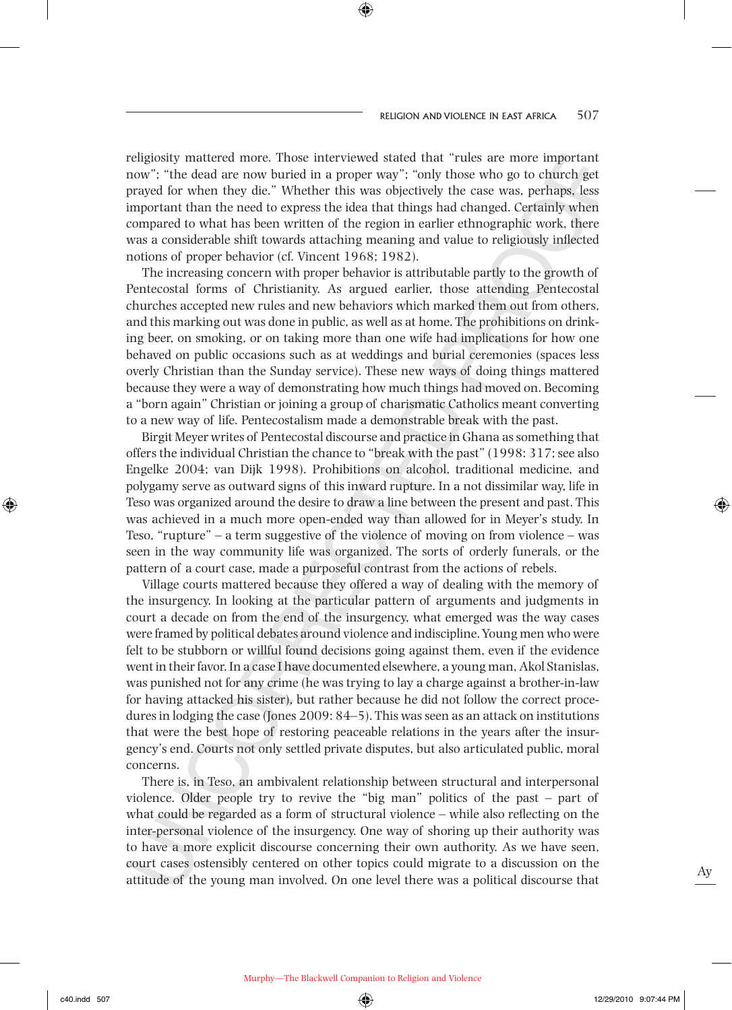religiosity mattered more. Those interviewed stated that "rules are more important now"; "the dead are now buried in a proper way"; "only those who go to church get prayed for when they die." Whether this was objectively the case was, perhaps, less important than the need to express the idea that things had changed. Certainly when compared to what has been written of the region in earlier ethnographic work, there was a considerable shift towards attaching meaning and value to religiously inflected notions of proper behavior (cf. Vincent 1968; 1982).

 $\circledast$ 

The increasing concern with proper behavior is attributable partly to the growth of Pentecostal forms of Christianity. As argued earlier, those attending Pentecostal churches accepted new rules and new behaviors which marked them out from others, and this marking out was done in public, as well as at home. The prohibitions on drinking beer, on smoking, or on taking more than one wife had implications for how one behaved on public occasions such as at weddings and burial ceremonies (spaces less overly Christian than the Sunday service). These new ways of doing things mattered because they were a way of demonstrating how much things had moved on. Becoming a "born again" Christian or joining a group of charismatic Catholics meant converting to a new way of life. Pentecostalism made a demonstrable break with the past.

Birgit Meyer writes of Pentecostal discourse and practice in Ghana as something that offers the individual Christian the chance to "break with the past" (1998: 317; see also Engelke 2004; van Dijk 1998). Prohibitions on alcohol, traditional medicine, and polygamy serve as outward signs of this inward rupture. In a not dissimilar way, life in Teso was organized around the desire to draw a line between the present and past. This was achieved in a much more open-ended way than allowed for in Meyer's study. In Teso, "rupture" – a term suggestive of the violence of moving on from violence – was seen in the way community life was organized. The sorts of orderly funerals, or the pattern of a court case, made a purposeful contrast from the actions of rebels.

Village courts mattered because they offered a way of dealing with the memory of the insurgency. In looking at the particular pattern of arguments and judgments in court a decade on from the end of the insurgency, what emerged was the way cases were framed by political debates around violence and indiscipline. Young men who were felt to be stubborn or willful found decisions going against them, even if the evidence went in their favor. In a case I have documented elsewhere, a young man, Akol Stanislas, was punished not for any crime (he was trying to lay a charge against a brother-in-law for having attacked his sister), but rather because he did not follow the correct procedures in lodging the case (Jones 2009: 84–5). This was seen as an attack on institutions that were the best hope of restoring peaceable relations in the years after the insurgency's end. Courts not only settled private disputes, but also articulated public, moral concerns.

There is, in Teso, an ambivalent relationship between structural and interpersonal violence. Older people try to revive the "big man" politics of the past – part of what could be regarded as a form of structural violence – while also reflecting on the inter-personal violence of the insurgency. One way of shoring up their authority was to have a more explicit discourse concerning their own authority. As we have seen, court cases ostensibly centered on other topics could migrate to a discussion on the attitude of the young man involved. On one level there was a political discourse that ⊕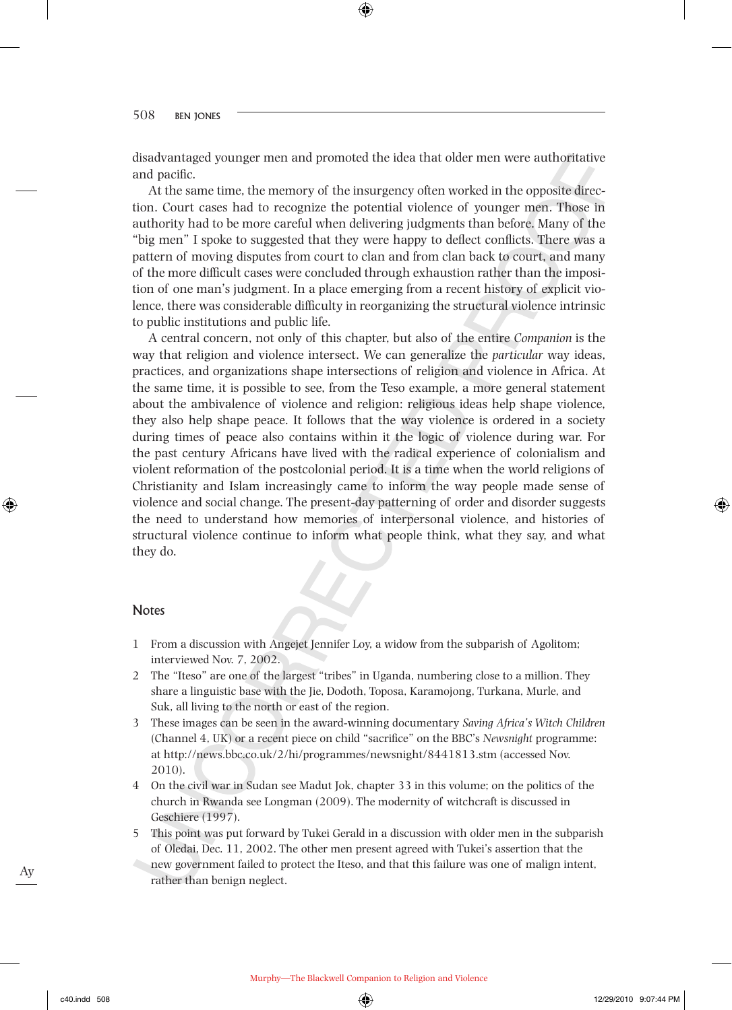disadvantaged younger men and promoted the idea that older men were authoritative and pacific.

 $\circledast$ 

At the same time, the memory of the insurgency often worked in the opposite direction. Court cases had to recognize the potential violence of younger men. Those in authority had to be more careful when delivering judgments than before. Many of the "big men" I spoke to suggested that they were happy to deflect conflicts. There was a pattern of moving disputes from court to clan and from clan back to court, and many of the more difficult cases were concluded through exhaustion rather than the imposition of one man's judgment. In a place emerging from a recent history of explicit violence, there was considerable difficulty in reorganizing the structural violence intrinsic to public institutions and public life.

A central concern, not only of this chapter, but also of the entire *Companion* is the way that religion and violence intersect. We can generalize the *particular* way ideas, practices, and organizations shape intersections of religion and violence in Africa. At the same time, it is possible to see, from the Teso example, a more general statement about the ambivalence of violence and religion: religious ideas help shape violence, they also help shape peace. It follows that the way violence is ordered in a society during times of peace also contains within it the logic of violence during war. For the past century Africans have lived with the radical experience of colonialism and violent reformation of the postcolonial period. It is a time when the world religions of Christianity and Islam increasingly came to inform the way people made sense of violence and social change. The present-day patterning of order and disorder suggests the need to understand how memories of interpersonal violence, and histories of structural violence continue to inform what people think, what they say, and what they do.

#### **Notes**

- 1 From a discussion with Angejet Jennifer Loy, a widow from the subparish of Agolitom; interviewed Nov. 7, 2002.
- 2 The "Iteso" are one of the largest "tribes" in Uganda, numbering close to a million. They share a linguistic base with the Jie, Dodoth, Toposa, Karamojong, Turkana, Murle, and Suk, all living to the north or east of the region.
- 3 These images can be seen in the award-winning documentary *Saving Africa's Witch Children* (Channel 4, UK) or a recent piece on child "sacrifice" on the BBC's *Newsnight* programme: at http://news.bbc.co.uk/2/hi/programmes/newsnight/8441813.stm (accessed Nov. 2010).
- 4 On the civil war in Sudan see Madut Jok, chapter 33 in this volume; on the politics of the church in Rwanda see Longman (2009). The modernity of witchcraft is discussed in Geschiere (1997).
- 5 This point was put forward by Tukei Gerald in a discussion with older men in the subparish of Oledai, Dec. 11, 2002. The other men present agreed with Tukei's assertion that the new government failed to protect the Iteso, and that this failure was one of malign intent, rather than benign neglect.

Ay

⊕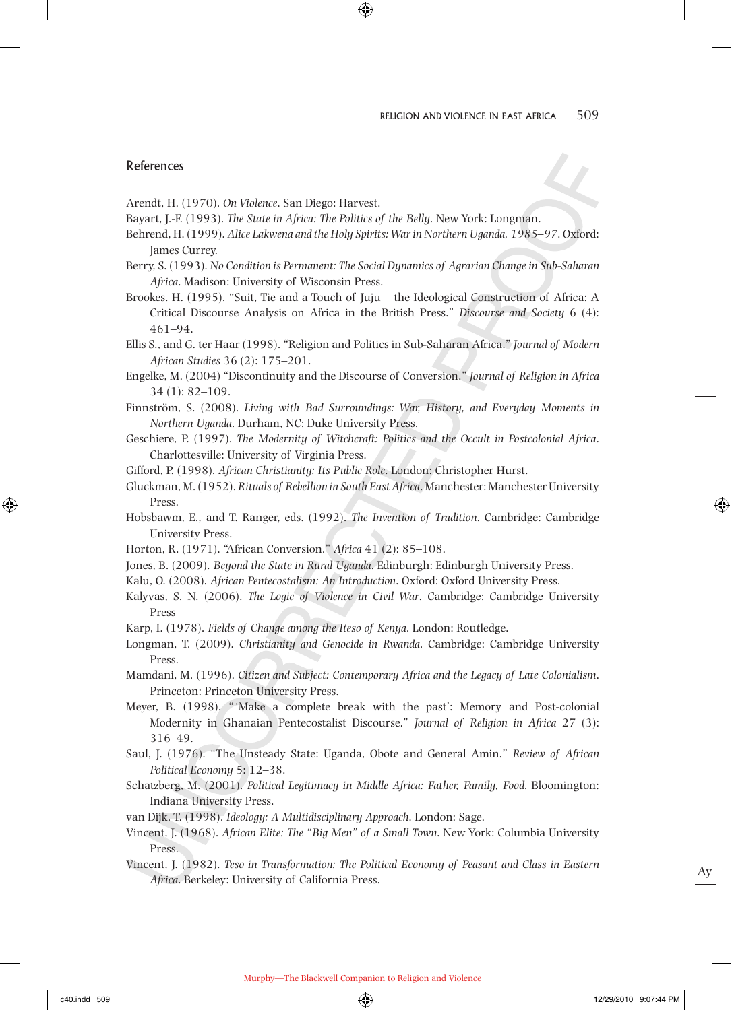### References

Arendt, H. (1970). *On Violence*. San Diego: Harvest.

Bayart, J.-F. (1993). *The State in Africa: The Politics of the Belly*. New York: Longman.

Behrend, H. (1999). *Alice Lakwena and the Holy Spirits: War in Northern Uganda, 1985–97*. Oxford: James Currey.

⊕

- Berry, S. (1993). *No Condition is Permanent: The Social Dynamics of Agrarian Change in Sub-Saharan Africa*. Madison: University of Wisconsin Press.
- Brookes. H. (1995). "Suit, Tie and a Touch of Juju the Ideological Construction of Africa: A Critical Discourse Analysis on Africa in the British Press." *Discourse and Society* 6 (4): 461–94.
- Ellis S., and G. ter Haar (1998). "Religion and Politics in Sub-Saharan Africa." *Journal of Modern African Studies* 36 (2): 175–201.
- Engelke, M. (2004) "Discontinuity and the Discourse of Conversion." *Journal of Religion in Africa* 34 (1): 82–109.
- Finnström, S. (2008). *Living with Bad Surroundings: War, History, and Everyday Moments in Northern Uganda*. Durham, NC: Duke University Press.
- Geschiere, P. (1997). *The Modernity of Witchcraft: Politics and the Occult in Postcolonial Africa*. Charlottesville: University of Virginia Press.

Gifford, P. (1998). *African Christianity: Its Public Role*. London: Christopher Hurst.

- Gluckman, M. (1952). *Rituals of Rebellion in South East Africa*. Manchester: Manchester University Press.
- Hobsbawm, E., and T. Ranger, eds. (1992). *The Invention of Tradition*. Cambridge: Cambridge University Press.
- Horton, R. (1971). "African Conversion." *Africa* 41 (2): 85–108.
- Jones, B. (2009). *Beyond the State in Rural Uganda*. Edinburgh: Edinburgh University Press.
- Kalu, O. (2008). *African Pentecostalism: An Introduction*. Oxford: Oxford University Press.
- Kalyvas, S. N. (2006). *The Logic of Violence in Civil War*. Cambridge: Cambridge University Press
- Karp, I. (1978). *Fields of Change among the Iteso of Kenya*. London: Routledge.
- Longman, T. (2009). *Christianity and Genocide in Rwanda*. Cambridge: Cambridge University Press.
- Mamdani, M. (1996). *Citizen and Subject: Contemporary Africa and the Legacy of Late Colonialism*. Princeton: Princeton University Press.
- Meyer, B. (1998). " 'Make a complete break with the past': Memory and Post-colonial Modernity in Ghanaian Pentecostalist Discourse." *Journal of Religion in Africa* 27 (3): 316–49.
- Saul, J. (1976). "The Unsteady State: Uganda, Obote and General Amin." *Review of African Political Economy* 5: 12–38.
- Schatzberg, M. (2001). *Political Legitimacy in Middle Africa: Father, Family, Food*. Bloomington: Indiana University Press.
- van Dijk, T. (1998). *Ideology: A Multidisciplinary Approach*. London: Sage.
- Vincent, J. (1968). *African Elite: The "Big Men" of a Small Town*. New York: Columbia University Press.
- Vincent, J. (1982). *Teso in Transformation: The Political Economy of Peasant and Class in Eastern Africa*. Berkeley: University of California Press.

⊕